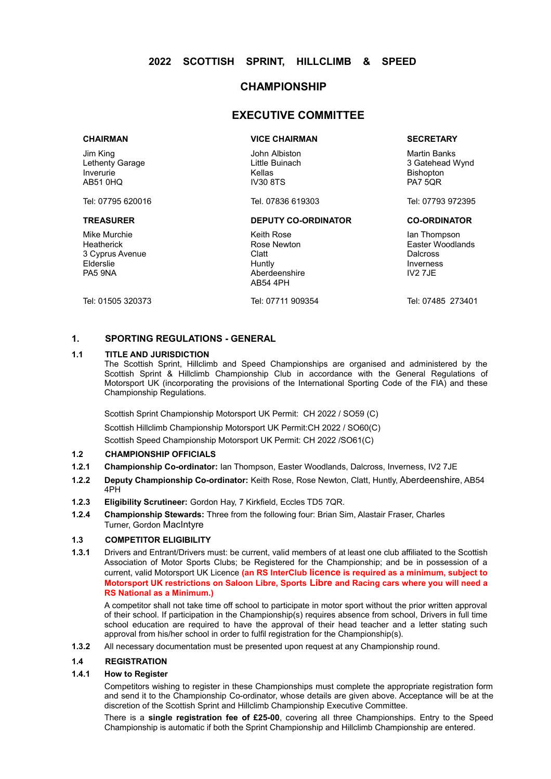#### **CHAMPIONSHIP**

#### **EXECUTIVE COMMITTEE**

Jim King Lethenty Garage Inverurie AB51 0HQ

Mike Murchie **Heatherick** 3 Cyprus Avenue Elderslie PA5 9NA

John Albiston Little Buinach Kellas IV30 8TS

#### **TREASURER DEPUTY CO-ORDINATOR CO-ORDINATOR**

Keith Rose Rose Newton Clatt Huntly Aberdeenshire AB54 4PH

#### **CHAIRMAN VICE CHAIRMAN SECRETARY**

Martin Banks 3 Gatehead Wynd Bishopton PA7 5QR

Tel: 07795 620016 Tel. 07836 619303 Tel: 07793 972395

Ian Thompson Easter Woodlands **Dalcross** Inverness IV2 7JE

Tel: 01505 320373 Tel: 07711 909354 Tel: 07485 273401

#### **1. SPORTING REGULATIONS - GENERAL**

#### **1.1 TITLE AND JURISDICTION**

The Scottish Sprint, Hillclimb and Speed Championships are organised and administered by the Scottish Sprint & Hillclimb Championship Club in accordance with the General Regulations of Motorsport UK (incorporating the provisions of the International Sporting Code of the FIA) and these Championship Regulations.

Scottish Sprint Championship Motorsport UK Permit: CH 2022 / SO59 (C)

Scottish Hillclimb Championship Motorsport UK Permit:CH 2022 / SO60(C)

Scottish Speed Championship Motorsport UK Permit: CH 2022 /SO61(C)

#### **1.2 CHAMPIONSHIP OFFICIALS**

- **1.2.1 Championship Co-ordinator:** Ian Thompson, Easter Woodlands, Dalcross, Inverness, IV2 7JE
- **1.2.2 Deputy Championship Co-ordinator:** Keith Rose, Rose Newton, Clatt, Huntly, Aberdeenshire, AB54 4PH
- **1.2.3 Eligibility Scrutineer:** Gordon Hay, 7 Kirkfield, Eccles TD5 7QR.
- **1.2.4 Championship Stewards:** Three from the following four: Brian Sim, Alastair Fraser, Charles Turner, Gordon MacIntyre

#### **1.3 COMPETITOR ELIGIBILITY**

**1.3.1** Drivers and Entrant/Drivers must: be current, valid members of at least one club affiliated to the Scottish Association of Motor Sports Clubs; be Registered for the Championship; and be in possession of a current, valid Motorsport UK Licence **(an RS InterClub licence is required as a minimum, subject to Motorsport UK restrictions on Saloon Libre, Sports Libre and Racing cars where you will need a RS National as a Minimum.)**

A competitor shall not take time off school to participate in motor sport without the prior written approval of their school. If participation in the Championship(s) requires absence from school, Drivers in full time school education are required to have the approval of their head teacher and a letter stating such approval from his/her school in order to fulfil registration for the Championship(s).

**1.3.2** All necessary documentation must be presented upon request at any Championship round.

#### **1.4 REGISTRATION**

#### **1.4.1 How to Register**

Competitors wishing to register in these Championships must complete the appropriate registration form and send it to the Championship Co-ordinator, whose details are given above. Acceptance will be at the discretion of the Scottish Sprint and Hillclimb Championship Executive Committee.

There is a **single registration fee of £25-00**, covering all three Championships. Entry to the Speed Championship is automatic if both the Sprint Championship and Hillclimb Championship are entered.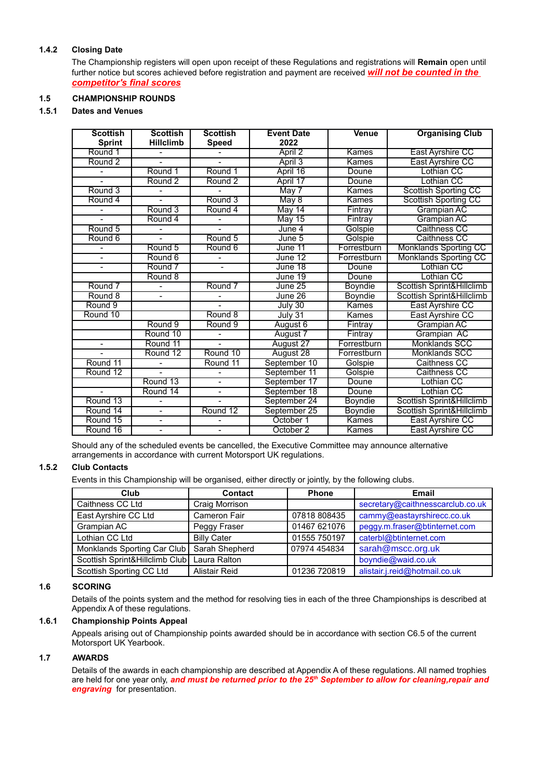#### **1.4.2 Closing Date**

The Championship registers will open upon receipt of these Regulations and registrations will **Remain** open until further notice but scores achieved before registration and payment are received *will not be counted in the competitor's final scores*

#### **1.5 CHAMPIONSHIP ROUNDS**

#### **1.5.1 Dates and Venues**

| <b>Scottish</b><br><b>Sprint</b> | <b>Scottish</b><br><b>Hillclimb</b> | <b>Scottish</b><br><b>Speed</b> | <b>Event Date</b><br>2022 | <b>Venue</b>   | <b>Organising Club</b>               |
|----------------------------------|-------------------------------------|---------------------------------|---------------------------|----------------|--------------------------------------|
| Round 1                          |                                     |                                 | April 2                   | Kames          | East Ayrshire CC                     |
| Round <sub>2</sub>               |                                     |                                 | April 3                   | Kames          | East Ayrshire CC                     |
|                                  | Round 1                             | Round 1                         | April 16                  | Doune          | Lothian CC                           |
|                                  | Round <sub>2</sub>                  | Round <sub>2</sub>              | April 17                  | Doune          | <b>Lothian CC</b>                    |
| Round 3                          |                                     |                                 | May 7                     | Kames          | <b>Scottish Sporting CC</b>          |
| Round 4                          |                                     | Round 3                         | May8                      | Kames          | <b>Scottish Sporting CC</b>          |
|                                  | Round 3                             | Round 4                         | May 14                    | Fintray        | Grampian AC                          |
|                                  | Round 4                             |                                 | $M$ ay 15                 | Fintray        | <b>Grampian AC</b>                   |
| Round 5                          |                                     | $\overline{a}$                  | June 4                    | Golspie        | Caithness CC                         |
| Round 6                          |                                     | Round 5                         | $J$ une $5$               | Golspie        | Caithness CC                         |
|                                  | Round 5                             | Round 6                         | June 11                   | Forrestburn    | <b>Monklands Sporting CC</b>         |
|                                  | Round 6                             |                                 | June $12$                 | Forrestburn    | <b>Monklands Sporting CC</b>         |
|                                  | Round 7                             |                                 | June 18                   | Doune          | Lothian CC                           |
|                                  | Round 8                             |                                 | June 19                   | Doune          | <b>Lothian CC</b>                    |
| Round 7                          | $\overline{\phantom{0}}$            | Round 7                         | June 25                   | Boyndie        | <b>Scottish Sprint&amp;Hillclimb</b> |
| Round 8                          |                                     |                                 | June 26                   | <b>Boyndie</b> | Scottish Sprint&Hillclimb            |
| Round 9                          |                                     |                                 | July $30$                 | Kames          | East Ayrshire CC                     |
| Round 10                         |                                     | Round 8                         | July 31                   | Kames          | East Ayrshire CC                     |
|                                  | Round 9                             | Round 9                         | August 6                  | Fintray        | <b>Grampian AC</b>                   |
|                                  | Round 10                            |                                 | August 7                  | Fintray        | Grampian AC                          |
| $\qquad \qquad \blacksquare$     | Round 11                            |                                 | August 27                 | Forrestburn    | <b>Monklands SCC</b>                 |
|                                  | Round 12                            | Round 10                        | August 28                 | Forrestburn    | <b>Monklands SCC</b>                 |
| Round 11                         |                                     | Round 11                        | September 10              | Golspie        | Caithness CC                         |
| Round 12                         |                                     |                                 | September 11              | Golspie        | Caithness CC                         |
|                                  | Round 13                            | $\overline{\phantom{0}}$        | September 17              | Doune          | Lothian CC                           |
|                                  | Round 14                            |                                 | September 18              | Doune          | Lothian CC                           |
| Round 13                         |                                     |                                 | September 24              | Boyndie        | Scottish Sprint&Hillclimb            |
| Round 14                         | $\overline{\phantom{0}}$            | Round 12                        | September 25              | <b>Boyndie</b> | Scottish Sprint&Hillclimb            |
| Round 15                         | $\overline{\phantom{0}}$            |                                 | October 1                 | Kames          | East Ayrshire CC                     |
| Round 16                         |                                     |                                 | October 2                 | Kames          | East Ayrshire CC                     |

Should any of the scheduled events be cancelled, the Executive Committee may announce alternative arrangements in accordance with current Motorsport UK regulations.

#### **1.5.2 Club Contacts**

Events in this Championship will be organised, either directly or jointly, by the following clubs.

| Club                           | <b>Contact</b>     | <b>Phone</b> | <b>Email</b>                     |
|--------------------------------|--------------------|--------------|----------------------------------|
| Caithness CC Ltd               | Craig Morrison     |              | secretary@caithnesscarclub.co.uk |
| East Ayrshire CC Ltd           | Cameron Fair       | 07818 808435 | cammy@eastayrshirecc.co.uk       |
| Grampian AC                    | Peggy Fraser       | 01467 621076 | peggy.m.fraser@btinternet.com    |
| Lothian CC Ltd                 | <b>Billy Cater</b> | 01555 750197 | caterbl@btinternet.com           |
| Monklands Sporting Car Club    | Sarah Shepherd     | 07974 454834 | sarah@mscc.org.uk                |
| Scottish Sprint&Hillclimb Club | Laura Ralton       |              | boyndie@waid.co.uk               |
| Scottish Sporting CC Ltd       | Alistair Reid      | 01236 720819 | alistair.j.reid@hotmail.co.uk    |

#### **1.6 SCORING**

Details of the points system and the method for resolving ties in each of the three Championships is described at Appendix A of these regulations.

#### **1.6.1 Championship Points Appeal**

Appeals arising out of Championship points awarded should be in accordance with section C6.5 of the current Motorsport UK Yearbook.

#### **1.7 AWARDS**

Details of the awards in each championship are described at Appendix A of these regulations. All named trophies are held for one year only, *and must be returned prior to the 25th September to allow for cleaning,repair and engraving* for presentation.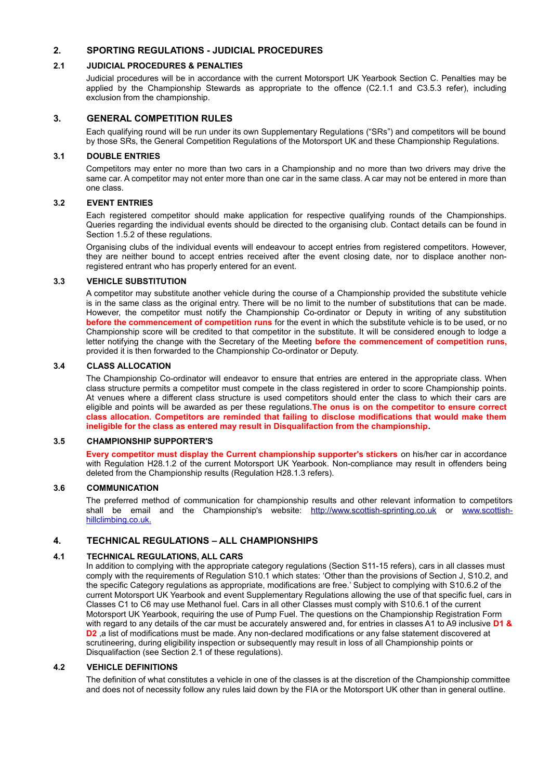#### **2. SPORTING REGULATIONS - JUDICIAL PROCEDURES**

#### **2.1 JUDICIAL PROCEDURES & PENALTIES**

Judicial procedures will be in accordance with the current Motorsport UK Yearbook Section C. Penalties may be applied by the Championship Stewards as appropriate to the offence (C2.1.1 and C3.5.3 refer), including exclusion from the championship.

#### **3. GENERAL COMPETITION RULES**

Each qualifying round will be run under its own Supplementary Regulations ("SRs") and competitors will be bound by those SRs, the General Competition Regulations of the Motorsport UK and these Championship Regulations.

#### **3.1 DOUBLE ENTRIES**

Competitors may enter no more than two cars in a Championship and no more than two drivers may drive the same car. A competitor may not enter more than one car in the same class. A car may not be entered in more than one class.

#### **3.2 EVENT ENTRIES**

Each registered competitor should make application for respective qualifying rounds of the Championships. Queries regarding the individual events should be directed to the organising club. Contact details can be found in Section 1.5.2 of these regulations.

Organising clubs of the individual events will endeavour to accept entries from registered competitors. However, they are neither bound to accept entries received after the event closing date, nor to displace another nonregistered entrant who has properly entered for an event.

#### **3.3 VEHICLE SUBSTITUTION**

A competitor may substitute another vehicle during the course of a Championship provided the substitute vehicle is in the same class as the original entry. There will be no limit to the number of substitutions that can be made. However, the competitor must notify the Championship Co-ordinator or Deputy in writing of any substitution **before the commencement of competition runs** for the event in which the substitute vehicle is to be used, or no Championship score will be credited to that competitor in the substitute. It will be considered enough to lodge a letter notifying the change with the Secretary of the Meeting **before the commencement of competition runs,** provided it is then forwarded to the Championship Co-ordinator or Deputy.

#### **3.4 CLASS ALLOCATION**

The Championship Co-ordinator will endeavor to ensure that entries are entered in the appropriate class. When class structure permits a competitor must compete in the class registered in order to score Championship points. At venues where a different class structure is used competitors should enter the class to which their cars are eligible and points will be awarded as per these regulations.**The onus is on the competitor to ensure correct class allocation. Competitors are reminded that failing to disclose modifications that would make them ineligible for the class as entered may result in Disqualifaction from the championship.**

#### **3.5 CHAMPIONSHIP SUPPORTER'S**

**Every competitor must display the Current championship supporter's stickers** on his/her car in accordance with Regulation H28.1.2 of the current Motorsport UK Yearbook. Non-compliance may result in offenders being deleted from the Championship results (Regulation H28.1.3 refers).

#### **3.6 COMMUNICATION**

The preferred method of communication for championship results and other relevant information to competitors shall be email and the Championship's website: [http://www.scottish-sprinting.co.uk](http://www.scottish-sprinting.co.uk/) or www.scottishhillclimbing.co.uk.

#### **4. TECHNICAL REGULATIONS – ALL CHAMPIONSHIPS**

#### **4.1 TECHNICAL REGULATIONS, ALL CARS**

In addition to complying with the appropriate category regulations (Section S11-15 refers), cars in all classes must comply with the requirements of Regulation S10.1 which states: 'Other than the provisions of Section J, S10.2, and the specific Category regulations as appropriate, modifications are free.' Subject to complying with S10.6.2 of the current Motorsport UK Yearbook and event Supplementary Regulations allowing the use of that specific fuel, cars in Classes C1 to C6 may use Methanol fuel. Cars in all other Classes must comply with S10.6.1 of the current Motorsport UK Yearbook, requiring the use of Pump Fuel. The questions on the Championship Registration Form with regard to any details of the car must be accurately answered and, for entries in classes A1 to A9 inclusive **D1 & D2** ,a list of modifications must be made. Any non-declared modifications or any false statement discovered at scrutineering, during eligibility inspection or subsequently may result in loss of all Championship points or Disqualifaction (see Section 2.1 of these regulations).

#### **4.2 VEHICLE DEFINITIONS**

The definition of what constitutes a vehicle in one of the classes is at the discretion of the Championship committee and does not of necessity follow any rules laid down by the FIA or the Motorsport UK other than in general outline.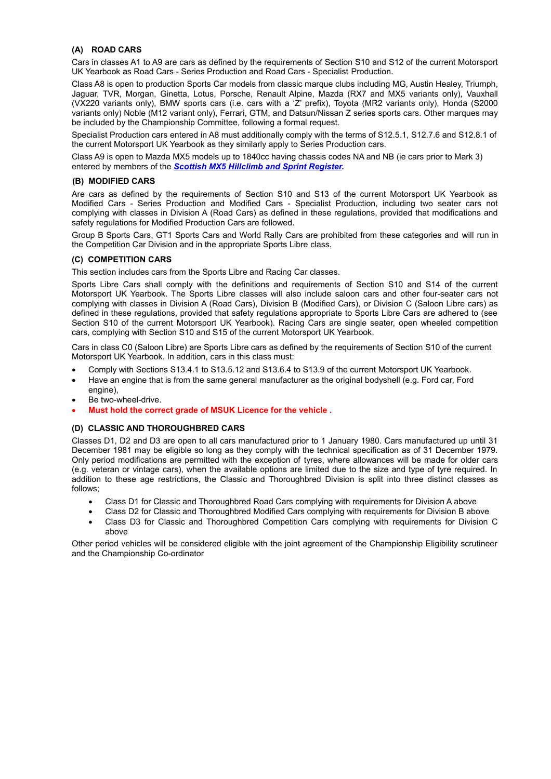#### **(A) ROAD CARS**

Cars in classes A1 to A9 are cars as defined by the requirements of Section S10 and S12 of the current Motorsport UK Yearbook as Road Cars - Series Production and Road Cars - Specialist Production.

Class A8 is open to production Sports Car models from classic marque clubs including MG, Austin Healey, Triumph, Jaguar, TVR, Morgan, Ginetta, Lotus, Porsche, Renault Alpine, Mazda (RX7 and MX5 variants only), Vauxhall (VX220 variants only), BMW sports cars (i.e. cars with a 'Z' prefix), Toyota (MR2 variants only), Honda (S2000 variants only) Noble (M12 variant only), Ferrari, GTM, and Datsun/Nissan Z series sports cars. Other marques may be included by the Championship Committee, following a formal request.

Specialist Production cars entered in A8 must additionally comply with the terms of S12.5.1, S12.7.6 and S12.8.1 of the current Motorsport UK Yearbook as they similarly apply to Series Production cars.

Class A9 is open to Mazda MX5 models up to 1840cc having chassis codes NA and NB (ie cars prior to Mark 3) entered by members of the *Scottish MX5 Hillclimb and Sprint Register.*

#### **(B) MODIFIED CARS**

Are cars as defined by the requirements of Section S10 and S13 of the current Motorsport UK Yearbook as Modified Cars - Series Production and Modified Cars - Specialist Production, including two seater cars not complying with classes in Division A (Road Cars) as defined in these regulations, provided that modifications and safety regulations for Modified Production Cars are followed.

Group B Sports Cars, GT1 Sports Cars and World Rally Cars are prohibited from these categories and will run in the Competition Car Division and in the appropriate Sports Libre class.

#### **(C) COMPETITION CARS**

This section includes cars from the Sports Libre and Racing Car classes.

Sports Libre Cars shall comply with the definitions and requirements of Section S10 and S14 of the current Motorsport UK Yearbook. The Sports Libre classes will also include saloon cars and other four-seater cars not complying with classes in Division A (Road Cars), Division B (Modified Cars), or Division C (Saloon Libre cars) as defined in these regulations, provided that safety regulations appropriate to Sports Libre Cars are adhered to (see Section S10 of the current Motorsport UK Yearbook). Racing Cars are single seater, open wheeled competition cars, complying with Section S10 and S15 of the current Motorsport UK Yearbook.

Cars in class C0 (Saloon Libre) are Sports Libre cars as defined by the requirements of Section S10 of the current Motorsport UK Yearbook. In addition, cars in this class must:

- Comply with Sections S13.4.1 to S13.5.12 and S13.6.4 to S13.9 of the current Motorsport UK Yearbook.
- Have an engine that is from the same general manufacturer as the original bodyshell (e.g. Ford car, Ford engine),
- Be two-wheel-drive.
- **Must hold the correct grade of MSUK Licence for the vehicle .**

#### **(D) CLASSIC AND THOROUGHBRED CARS**

Classes D1, D2 and D3 are open to all cars manufactured prior to 1 January 1980. Cars manufactured up until 31 December 1981 may be eligible so long as they comply with the technical specification as of 31 December 1979. Only period modifications are permitted with the exception of tyres, where allowances will be made for older cars (e.g. veteran or vintage cars), when the available options are limited due to the size and type of tyre required. In addition to these age restrictions, the Classic and Thoroughbred Division is split into three distinct classes as follows;

- Class D1 for Classic and Thoroughbred Road Cars complying with requirements for Division A above
- Class D2 for Classic and Thoroughbred Modified Cars complying with requirements for Division B above
- Class D3 for Classic and Thoroughbred Competition Cars complying with requirements for Division C above

Other period vehicles will be considered eligible with the joint agreement of the Championship Eligibility scrutineer and the Championship Co-ordinator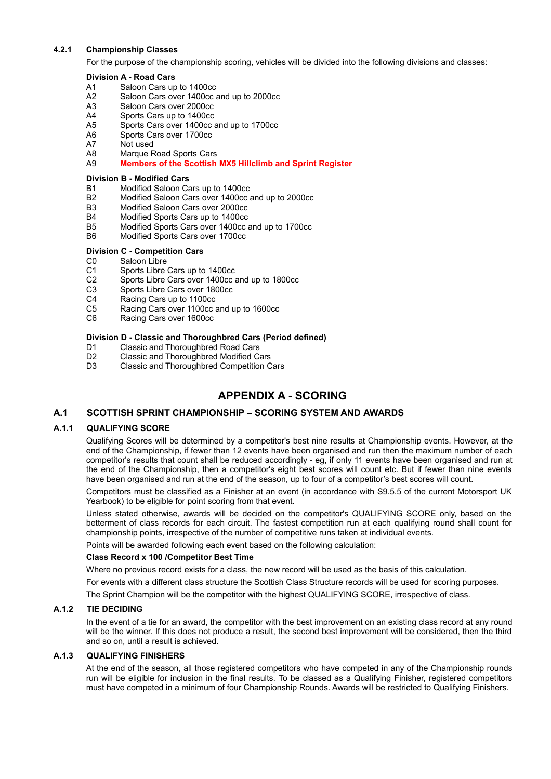#### **4.2.1 Championship Classes**

For the purpose of the championship scoring, vehicles will be divided into the following divisions and classes:

#### **Division A - Road Cars**

- A1 Saloon Cars up to 1400cc<br>A2 Saloon Cars over 1400cc a
- Saloon Cars over 1400cc and up to 2000cc
- A3 Saloon Cars over 2000cc
- A4 Sports Cars up to 1400cc
- A5 Sports Cars over 1400cc and up to 1700cc
- A6 Sports Cars over 1700cc
- A7 Not used
- A8 Marque Road Sports Cars
- A9 **Members of the Scottish MX5 Hillclimb and Sprint Register**

#### **Division B - Modified Cars**

- B1 Modified Saloon Cars up to 1400cc
- B2 Modified Saloon Cars over 1400cc and up to 2000cc
- B3 Modified Saloon Cars over 2000cc<br>B4 Modified Sports Cars up to 1400cc
- B4 Modified Sports Cars up to 1400cc<br>B5 Modified Sports Cars over 1400cc a
- Modified Sports Cars over 1400cc and up to 1700cc
- B6 Modified Sports Cars over 1700cc

#### **Division C - Competition Cars**

- C0 Saloon Libre
- C1 Sports Libre Cars up to 1400cc<br>C2 Sports Libre Cars over 1400cc a
- C2 Sports Libre Cars over 1400cc and up to 1800cc<br>C3 Sports Libre Cars over 1800cc
- Sports Libre Cars over 1800cc
- C4 Racing Cars up to 1100cc
- C5 Racing Cars over 1100cc and up to 1600cc
- C6 Racing Cars over 1600cc

#### **Division D - Classic and Thoroughbred Cars (Period defined)**

- D1 Classic and Thoroughbred Road Cars<br>D2 Classic and Thoroughbred Modified Ca
- Classic and Thoroughbred Modified Cars
- D3 Classic and Thoroughbred Competition Cars

#### **APPENDIX A - SCORING**

#### **A.1 SCOTTISH SPRINT CHAMPIONSHIP – SCORING SYSTEM AND AWARDS**

#### **A.1.1 QUALIFYING SCORE**

Qualifying Scores will be determined by a competitor's best nine results at Championship events. However, at the end of the Championship, if fewer than 12 events have been organised and run then the maximum number of each competitor's results that count shall be reduced accordingly - eg, if only 11 events have been organised and run at the end of the Championship, then a competitor's eight best scores will count etc. But if fewer than nine events have been organised and run at the end of the season, up to four of a competitor's best scores will count.

Competitors must be classified as a Finisher at an event (in accordance with S9.5.5 of the current Motorsport UK Yearbook) to be eligible for point scoring from that event.

Unless stated otherwise, awards will be decided on the competitor's QUALIFYING SCORE only, based on the betterment of class records for each circuit. The fastest competition run at each qualifying round shall count for championship points, irrespective of the number of competitive runs taken at individual events.

Points will be awarded following each event based on the following calculation:

#### **Class Record x 100 /Competitor Best Time**

Where no previous record exists for a class, the new record will be used as the basis of this calculation.

For events with a different class structure the Scottish Class Structure records will be used for scoring purposes.

The Sprint Champion will be the competitor with the highest QUALIFYING SCORE, irrespective of class.

#### **A.1.2 TIE DECIDING**

In the event of a tie for an award, the competitor with the best improvement on an existing class record at any round will be the winner. If this does not produce a result, the second best improvement will be considered, then the third and so on, until a result is achieved.

#### **A.1.3 QUALIFYING FINISHERS**

At the end of the season, all those registered competitors who have competed in any of the Championship rounds run will be eligible for inclusion in the final results. To be classed as a Qualifying Finisher, registered competitors must have competed in a minimum of four Championship Rounds. Awards will be restricted to Qualifying Finishers.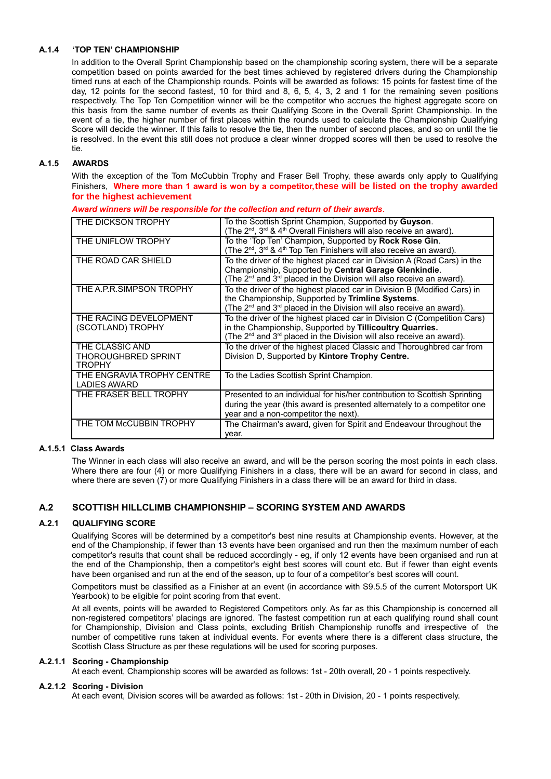#### **A.1.4 'TOP TEN' CHAMPIONSHIP**

In addition to the Overall Sprint Championship based on the championship scoring system, there will be a separate competition based on points awarded for the best times achieved by registered drivers during the Championship timed runs at each of the Championship rounds. Points will be awarded as follows: 15 points for fastest time of the day, 12 points for the second fastest, 10 for third and 8, 6, 5, 4, 3, 2 and 1 for the remaining seven positions respectively. The Top Ten Competition winner will be the competitor who accrues the highest aggregate score on this basis from the same number of events as their Qualifying Score in the Overall Sprint Championship. In the event of a tie, the higher number of first places within the rounds used to calculate the Championship Qualifying Score will decide the winner. If this fails to resolve the tie, then the number of second places, and so on until the tie is resolved. In the event this still does not produce a clear winner dropped scores will then be used to resolve the tie.

#### **A.1.5 AWARDS**

With the exception of the Tom McCubbin Trophy and Fraser Bell Trophy, these awards only apply to Qualifying Finishers, **Where more than 1 award is won by a competitor,these will be listed on the trophy awarded for the highest achievement**

| THE DICKSON TROPHY                                | To the Scottish Sprint Champion, Supported by Guyson.<br>(The 2 <sup>nd</sup> , 3 <sup>rd</sup> & 4 <sup>th</sup> Overall Finishers will also receive an award).                                                                     |
|---------------------------------------------------|--------------------------------------------------------------------------------------------------------------------------------------------------------------------------------------------------------------------------------------|
| THE UNIFLOW TROPHY                                | To the 'Top Ten' Champion, Supported by Rock Rose Gin.<br>(The 2 <sup>nd</sup> , 3 <sup>rd</sup> & 4 <sup>th</sup> Top Ten Finishers will also receive an award).                                                                    |
| THE ROAD CAR SHIELD                               | To the driver of the highest placed car in Division A (Road Cars) in the<br>Championship, Supported by Central Garage Glenkindie.<br>(The 2 <sup>nd</sup> and 3 <sup>rd</sup> placed in the Division will also receive an award).    |
| THE A.P.R.SIMPSON TROPHY                          | To the driver of the highest placed car in Division B (Modified Cars) in<br>the Championship, Supported by Trimline Systems.<br>(The 2 <sup>nd</sup> and 3 <sup>rd</sup> placed in the Division will also receive an award).         |
| THE RACING DEVELOPMENT<br>(SCOTLAND) TROPHY       | To the driver of the highest placed car in Division C (Competition Cars)<br>in the Championship, Supported by Tillicoultry Quarries.<br>(The 2 <sup>nd</sup> and 3 <sup>rd</sup> placed in the Division will also receive an award). |
| THE CLASSIC AND<br>THOROUGHBRED SPRINT<br>TROPHY  | To the driver of the highest placed Classic and Thoroughbred car from<br>Division D, Supported by Kintore Trophy Centre.                                                                                                             |
| THE ENGRAVIA TROPHY CENTRE<br><b>LADIES AWARD</b> | To the Ladies Scottish Sprint Champion.                                                                                                                                                                                              |
| THE FRASER BELL TROPHY                            | Presented to an individual for his/her contribution to Scottish Sprinting<br>during the year (this award is presented alternately to a competitor one<br>year and a non-competitor the next).                                        |
| THE TOM McCUBBIN TROPHY                           | The Chairman's award, given for Spirit and Endeavour throughout the<br>vear.                                                                                                                                                         |

*Award winners will be responsible for the collection and return of their awards.*

#### **A.1.5.1 Class Awards**

The Winner in each class will also receive an award, and will be the person scoring the most points in each class. Where there are four (4) or more Qualifying Finishers in a class, there will be an award for second in class, and where there are seven (7) or more Qualifying Finishers in a class there will be an award for third in class.

#### **A.2 SCOTTISH HILLCLIMB CHAMPIONSHIP – SCORING SYSTEM AND AWARDS**

#### **A.2.1 QUALIFYING SCORE**

Qualifying Scores will be determined by a competitor's best nine results at Championship events. However, at the end of the Championship, if fewer than 13 events have been organised and run then the maximum number of each competitor's results that count shall be reduced accordingly - eg, if only 12 events have been organised and run at the end of the Championship, then a competitor's eight best scores will count etc. But if fewer than eight events have been organised and run at the end of the season, up to four of a competitor's best scores will count.

Competitors must be classified as a Finisher at an event (in accordance with S9.5.5 of the current Motorsport UK Yearbook) to be eligible for point scoring from that event.

At all events, points will be awarded to Registered Competitors only. As far as this Championship is concerned all non-registered competitors' placings are ignored. The fastest competition run at each qualifying round shall count for Championship, Division and Class points, excluding British Championship runoffs and irrespective of the number of competitive runs taken at individual events. For events where there is a different class structure, the Scottish Class Structure as per these regulations will be used for scoring purposes.

#### **A.2.1.1 Scoring - Championship**

At each event, Championship scores will be awarded as follows: 1st - 20th overall, 20 - 1 points respectively.

#### **A.2.1.2 Scoring - Division**

At each event, Division scores will be awarded as follows: 1st - 20th in Division, 20 - 1 points respectively.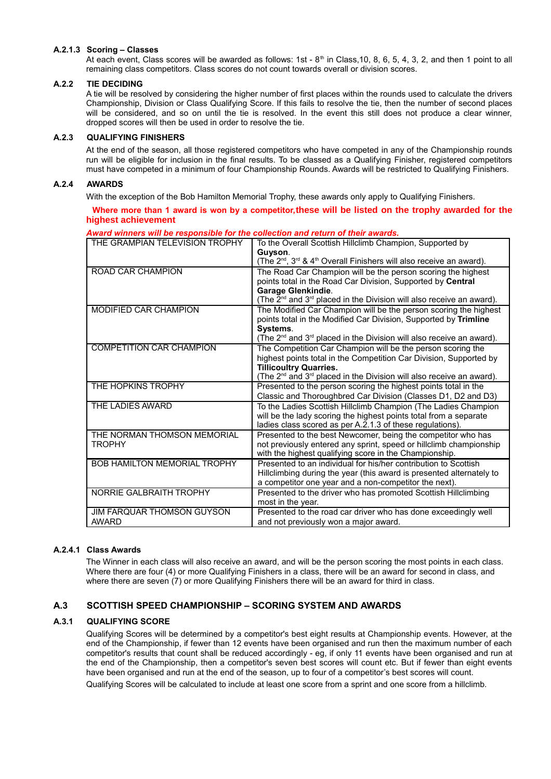#### **A.2.1.3 Scoring – Classes**

At each event, Class scores will be awarded as follows: 1st -  $8<sup>th</sup>$  in Class,10, 8, 6, 5, 4, 3, 2, and then 1 point to all remaining class competitors. Class scores do not count towards overall or division scores.

#### **A.2.2 TIE DECIDING**

A tie will be resolved by considering the higher number of first places within the rounds used to calculate the drivers Championship, Division or Class Qualifying Score. If this fails to resolve the tie, then the number of second places will be considered, and so on until the tie is resolved. In the event this still does not produce a clear winner, dropped scores will then be used in order to resolve the tie.

#### **A.2.3 QUALIFYING FINISHERS**

At the end of the season, all those registered competitors who have competed in any of the Championship rounds run will be eligible for inclusion in the final results. To be classed as a Qualifying Finisher, registered competitors must have competed in a minimum of four Championship Rounds. Awards will be restricted to Qualifying Finishers.

#### **A.2.4 AWARDS**

With the exception of the Bob Hamilton Memorial Trophy, these awards only apply to Qualifying Finishers.

 **Where more than 1 award is won by a competitor,these will be listed on the trophy awarded for the highest achievement**

| THE GRAMPIAN TELEVISION TROPHY                    | To the Overall Scottish Hillclimb Champion, Supported by                                                                                                                                                                                                           |
|---------------------------------------------------|--------------------------------------------------------------------------------------------------------------------------------------------------------------------------------------------------------------------------------------------------------------------|
|                                                   | Guyson.<br>(The 2 <sup>nd</sup> , 3 <sup>rd</sup> & 4 <sup>th</sup> Overall Finishers will also receive an award).                                                                                                                                                 |
| <b>ROAD CAR CHAMPION</b>                          | The Road Car Champion will be the person scoring the highest<br>points total in the Road Car Division, Supported by Central                                                                                                                                        |
|                                                   | <b>Garage Glenkindie.</b><br>(The $2^{\text{nd}}$ and $3^{\text{rd}}$ placed in the Division will also receive an award).                                                                                                                                          |
| <b>MODIFIED CAR CHAMPION</b>                      | The Modified Car Champion will be the person scoring the highest<br>points total in the Modified Car Division, Supported by Trimline<br>Systems.<br>(The $2^{nd}$ and $3^{rd}$ placed in the Division will also receive an award).                                 |
| <b>COMPETITION CAR CHAMPION</b>                   | The Competition Car Champion will be the person scoring the<br>highest points total in the Competition Car Division, Supported by<br><b>Tillicoultry Quarries.</b><br>(The 2 <sup>nd</sup> and 3 <sup>rd</sup> placed in the Division will also receive an award). |
| THE HOPKINS TROPHY                                | Presented to the person scoring the highest points total in the<br>Classic and Thoroughbred Car Division (Classes D1, D2 and D3)                                                                                                                                   |
| THE LADIES AWARD                                  | To the Ladies Scottish Hillclimb Champion (The Ladies Champion<br>will be the lady scoring the highest points total from a separate<br>ladies class scored as per A.2.1.3 of these regulations).                                                                   |
| THE NORMAN THOMSON MEMORIAL<br><b>TROPHY</b>      | Presented to the best Newcomer, being the competitor who has<br>not previously entered any sprint, speed or hillclimb championship<br>with the highest qualifying score in the Championship.                                                                       |
| <b>BOB HAMILTON MEMORIAL TROPHY</b>               | Presented to an individual for his/her contribution to Scottish<br>Hillclimbing during the year (this award is presented alternately to<br>a competitor one year and a non-competitor the next).                                                                   |
| <b>NORRIE GALBRAITH TROPHY</b>                    | Presented to the driver who has promoted Scottish Hillclimbing<br>most in the year.                                                                                                                                                                                |
| <b>JIM FARQUAR THOMSON GUYSON</b><br><b>AWARD</b> | Presented to the road car driver who has done exceedingly well<br>and not previously won a major award.                                                                                                                                                            |

*Award winners will be responsible for the collection and return of their awards.*

#### **A.2.4.1 Class Awards**

The Winner in each class will also receive an award, and will be the person scoring the most points in each class. Where there are four (4) or more Qualifying Finishers in a class, there will be an award for second in class, and where there are seven (7) or more Qualifying Finishers there will be an award for third in class.

#### **A.3 SCOTTISH SPEED CHAMPIONSHIP – SCORING SYSTEM AND AWARDS**

#### **A.3.1 QUALIFYING SCORE**

Qualifying Scores will be determined by a competitor's best eight results at Championship events. However, at the end of the Championship, if fewer than 12 events have been organised and run then the maximum number of each competitor's results that count shall be reduced accordingly - eg, if only 11 events have been organised and run at the end of the Championship, then a competitor's seven best scores will count etc. But if fewer than eight events have been organised and run at the end of the season, up to four of a competitor's best scores will count.

Qualifying Scores will be calculated to include at least one score from a sprint and one score from a hillclimb.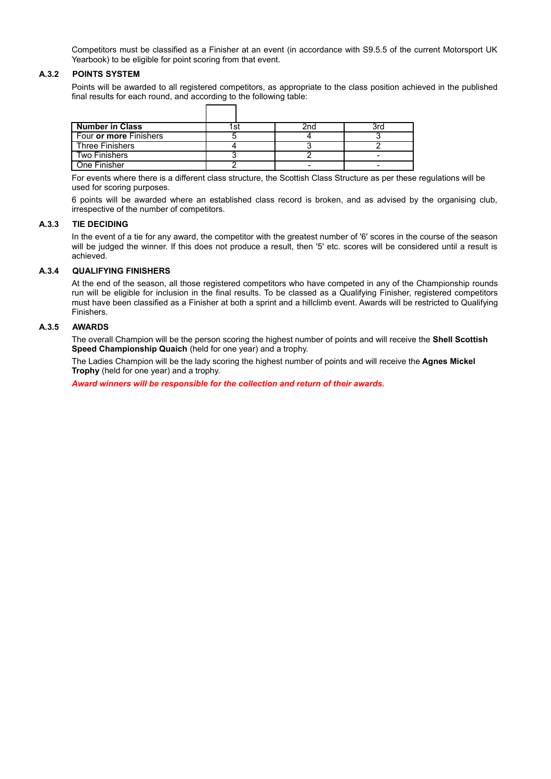Competitors must be classified as a Finisher at an event (in accordance with S9.5.5 of the current Motorsport UK Yearbook) to be eligible for point scoring from that event.

#### **A.3.2 POINTS SYSTEM**

Points will be awarded to all registered competitors, as appropriate to the class position achieved in the published final results for each round, and according to the following table:

| <b>Number in Class</b> |  |  |
|------------------------|--|--|
| Four or more Finishers |  |  |
| <b>Three Finishers</b> |  |  |
| <b>Two Finishers</b>   |  |  |
| One Finisher           |  |  |

For events where there is a different class structure, the Scottish Class Structure as per these regulations will be used for scoring purposes.

6 points will be awarded where an established class record is broken, and as advised by the organising club, irrespective of the number of competitors.

#### **A.3.3 TIE DECIDING**

In the event of a tie for any award, the competitor with the greatest number of '6' scores in the course of the season will be judged the winner. If this does not produce a result, then '5' etc. scores will be considered until a result is achieved.

#### **A.3.4 QUALIFYING FINISHERS**

At the end of the season, all those registered competitors who have competed in any of the Championship rounds run will be eligible for inclusion in the final results. To be classed as a Qualifying Finisher, registered competitors must have been classified as a Finisher at both a sprint and a hillclimb event. Awards will be restricted to Qualifying Finishers.

#### **A.3.5 AWARDS**

The overall Champion will be the person scoring the highest number of points and will receive the **Shell Scottish Speed Championship Quaich** (held for one year) and a trophy.

The Ladies Champion will be the lady scoring the highest number of points and will receive the **Agnes Mickel Trophy** (held for one year) and a trophy.

*Award winners will be responsible for the collection and return of their awards.*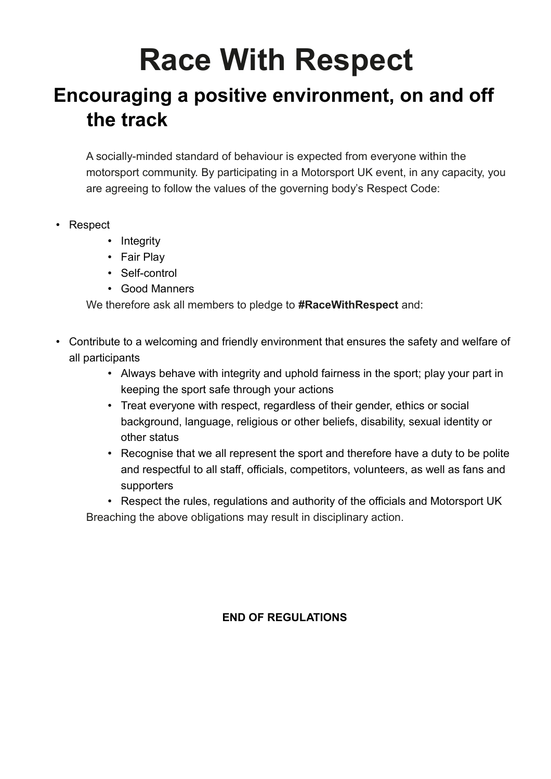# **Race With Respect**

## **Encouraging a positive environment, on and off the track**

A socially-minded standard of behaviour is expected from everyone within the motorsport community. By participating in a Motorsport UK event, in any capacity, you are agreeing to follow the values of the governing body's Respect Code:

- Respect
	- Integrity
	- Fair Play
	- Self-control
	- Good Manners

We therefore ask all members to pledge to **#RaceWithRespect** and:

- Contribute to a welcoming and friendly environment that ensures the safety and welfare of all participants
	- Always behave with integrity and uphold fairness in the sport; play your part in keeping the sport safe through your actions
	- Treat everyone with respect, regardless of their gender, ethics or social background, language, religious or other beliefs, disability, sexual identity or other status
	- Recognise that we all represent the sport and therefore have a duty to be polite and respectful to all staff, officials, competitors, volunteers, as well as fans and supporters

• Respect the rules, regulations and authority of the officials and Motorsport UK Breaching the above obligations may result in disciplinary action.

## **END OF REGULATIONS**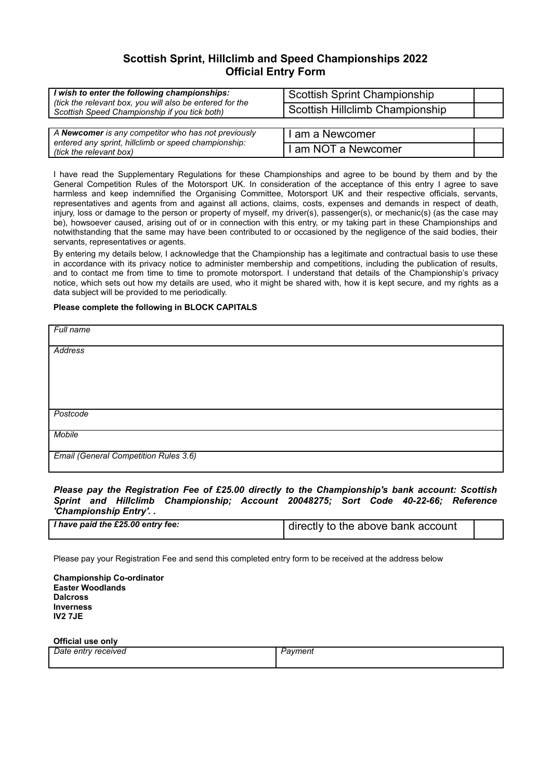### **Scottish Sprint, Hillclimb and Speed Championships 2022 Official Entry Form**

| wish to enter the following championships:<br>(tick the relevant box, you will also be entered for the<br>Scottish Speed Championship if you tick both) | <b>Scottish Sprint Championship</b><br>Scottish Hillclimb Championship |  |
|---------------------------------------------------------------------------------------------------------------------------------------------------------|------------------------------------------------------------------------|--|
|                                                                                                                                                         |                                                                        |  |
| A Newcomer is any competitor who has not previously<br>entered any sprint, hillclimb or speed championship:                                             | I am a Newcomer                                                        |  |
| (tick the relevant box)                                                                                                                                 | I am NOT a Newcomer                                                    |  |

I have read the Supplementary Regulations for these Championships and agree to be bound by them and by the General Competition Rules of the Motorsport UK. In consideration of the acceptance of this entry I agree to save harmless and keep indemnified the Organising Committee, Motorsport UK and their respective officials, servants, representatives and agents from and against all actions, claims, costs, expenses and demands in respect of death, injury, loss or damage to the person or property of myself, my driver(s), passenger(s), or mechanic(s) (as the case may be), howsoever caused, arising out of or in connection with this entry, or my taking part in these Championships and notwithstanding that the same may have been contributed to or occasioned by the negligence of the said bodies, their servants, representatives or agents.

By entering my details below, I acknowledge that the Championship has a legitimate and contractual basis to use these in accordance with its privacy notice to administer membership and competitions, including the publication of results, and to contact me from time to time to promote motorsport. I understand that details of the Championship's privacy notice, which sets out how my details are used, who it might be shared with, how it is kept secure, and my rights as a data subject will be provided to me periodically.

#### **Please complete the following in BLOCK CAPITALS**

| Full name                             |
|---------------------------------------|
|                                       |
|                                       |
| <b>Address</b>                        |
|                                       |
|                                       |
|                                       |
|                                       |
|                                       |
|                                       |
|                                       |
|                                       |
|                                       |
| Postcode                              |
|                                       |
|                                       |
| <b>Mobile</b>                         |
|                                       |
|                                       |
| Email (General Competition Rules 3.6) |
|                                       |
|                                       |
|                                       |

*Please pay the Registration Fee of £25.00 directly to the Championship's bank account: Scottish Sprint and Hillclimb Championship; Account 20048275; Sort Code 40-22-66; Reference 'Championship Entry'. .*

| I have paid the £25.00 entry fee: | directly to the above bank account |  |
|-----------------------------------|------------------------------------|--|

Please pay your Registration Fee and send this completed entry form to be received at the address below

**Championship Co-ordinator Easter Woodlands Dalcross Inverness IV2 7JE**

**Official use only**

| Date entry received | avment |
|---------------------|--------|
|                     |        |